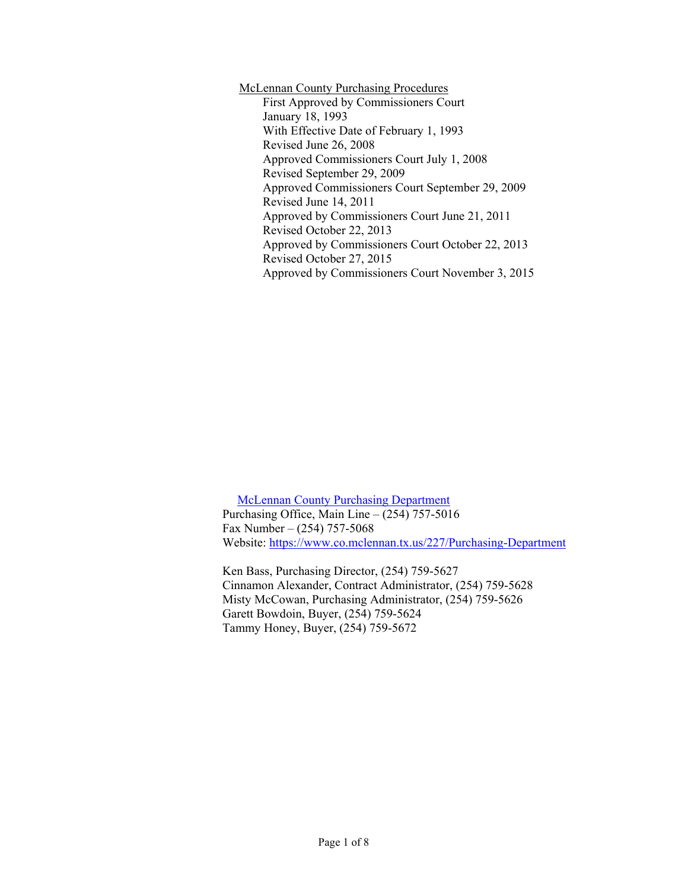McLennan County Purchasing Procedures

 First Approved by Commissioners Court January 18, 1993 With Effective Date of February 1, 1993 Revised June 26, 2008 Approved Commissioners Court July 1, 2008 Revised September 29, 2009 Approved Commissioners Court September 29, 2009 Revised June 14, 2011 Approved by Commissioners Court June 21, 2011 Revised October 22, 2013 Approved by Commissioners Court October 22, 2013 Revised October 27, 2015 Approved by Commissioners Court November 3, 2015

McLennan County Purchasing Department Purchasing Office, Main Line – (254) 757-5016 Fax Number –  $(254)$  757-5068 Website: https://www.co.mclennan.tx.us/227/Purchasing-Department

 Ken Bass, Purchasing Director, (254) 759-5627 Cinnamon Alexander, Contract Administrator, (254) 759-5628 Misty McCowan, Purchasing Administrator, (254) 759-5626 Garett Bowdoin, Buyer, (254) 759-5624 Tammy Honey, Buyer, (254) 759-5672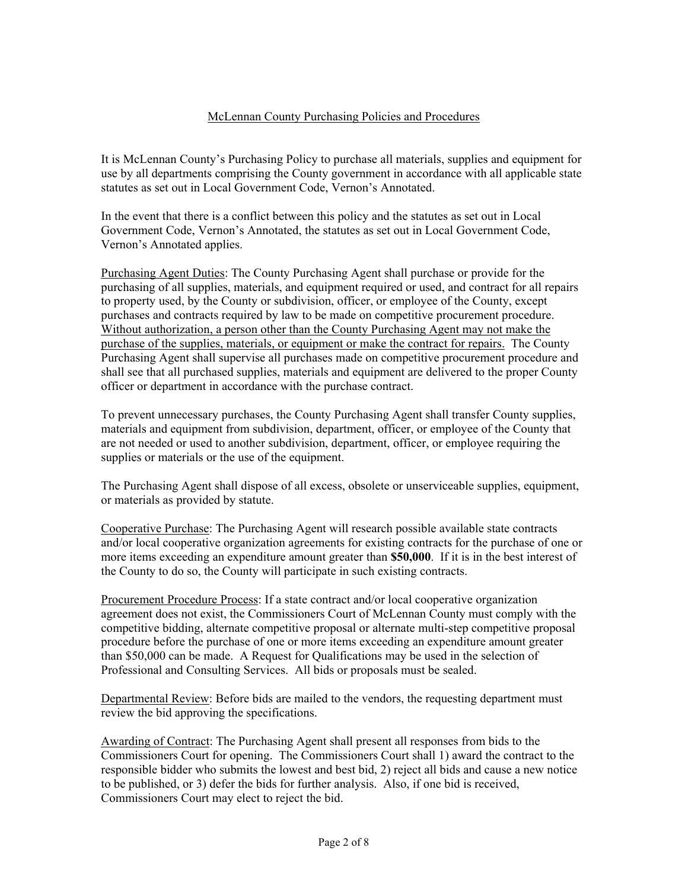# McLennan County Purchasing Policies and Procedures

It is McLennan County's Purchasing Policy to purchase all materials, supplies and equipment for use by all departments comprising the County government in accordance with all applicable state statutes as set out in Local Government Code, Vernon's Annotated.

In the event that there is a conflict between this policy and the statutes as set out in Local Government Code, Vernon's Annotated, the statutes as set out in Local Government Code, Vernon's Annotated applies.

Purchasing Agent Duties: The County Purchasing Agent shall purchase or provide for the purchasing of all supplies, materials, and equipment required or used, and contract for all repairs to property used, by the County or subdivision, officer, or employee of the County, except purchases and contracts required by law to be made on competitive procurement procedure. Without authorization, a person other than the County Purchasing Agent may not make the purchase of the supplies, materials, or equipment or make the contract for repairs. The County Purchasing Agent shall supervise all purchases made on competitive procurement procedure and shall see that all purchased supplies, materials and equipment are delivered to the proper County officer or department in accordance with the purchase contract.

To prevent unnecessary purchases, the County Purchasing Agent shall transfer County supplies, materials and equipment from subdivision, department, officer, or employee of the County that are not needed or used to another subdivision, department, officer, or employee requiring the supplies or materials or the use of the equipment.

The Purchasing Agent shall dispose of all excess, obsolete or unserviceable supplies, equipment, or materials as provided by statute.

Cooperative Purchase: The Purchasing Agent will research possible available state contracts and/or local cooperative organization agreements for existing contracts for the purchase of one or more items exceeding an expenditure amount greater than **\$50,000**. If it is in the best interest of the County to do so, the County will participate in such existing contracts.

Procurement Procedure Process: If a state contract and/or local cooperative organization agreement does not exist, the Commissioners Court of McLennan County must comply with the competitive bidding, alternate competitive proposal or alternate multi-step competitive proposal procedure before the purchase of one or more items exceeding an expenditure amount greater than \$50,000 can be made. A Request for Qualifications may be used in the selection of Professional and Consulting Services. All bids or proposals must be sealed.

Departmental Review: Before bids are mailed to the vendors, the requesting department must review the bid approving the specifications.

Awarding of Contract: The Purchasing Agent shall present all responses from bids to the Commissioners Court for opening. The Commissioners Court shall 1) award the contract to the responsible bidder who submits the lowest and best bid, 2) reject all bids and cause a new notice to be published, or 3) defer the bids for further analysis. Also, if one bid is received, Commissioners Court may elect to reject the bid.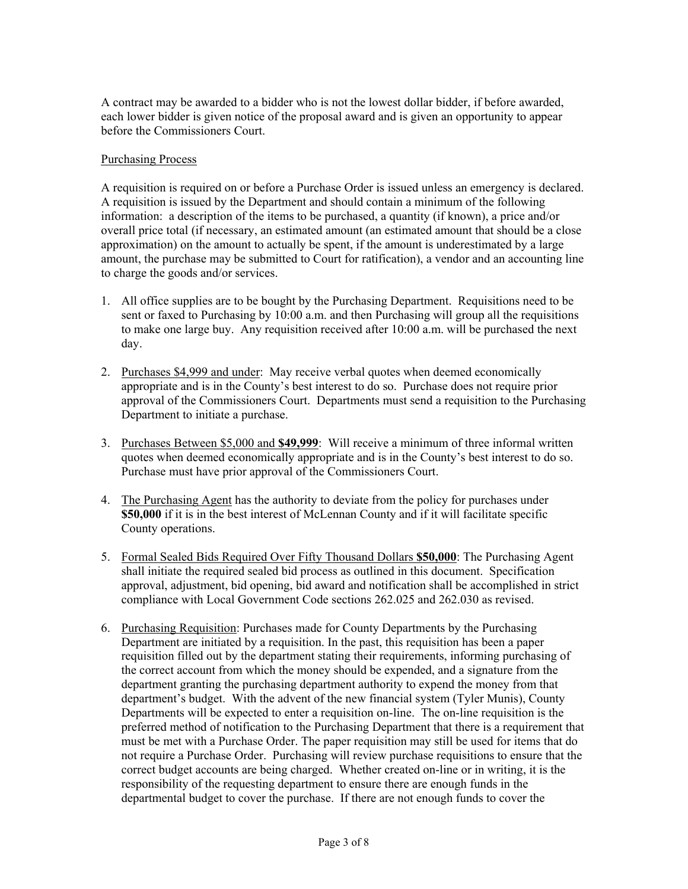A contract may be awarded to a bidder who is not the lowest dollar bidder, if before awarded, each lower bidder is given notice of the proposal award and is given an opportunity to appear before the Commissioners Court.

# Purchasing Process

A requisition is required on or before a Purchase Order is issued unless an emergency is declared. A requisition is issued by the Department and should contain a minimum of the following information: a description of the items to be purchased, a quantity (if known), a price and/or overall price total (if necessary, an estimated amount (an estimated amount that should be a close approximation) on the amount to actually be spent, if the amount is underestimated by a large amount, the purchase may be submitted to Court for ratification), a vendor and an accounting line to charge the goods and/or services.

- 1. All office supplies are to be bought by the Purchasing Department. Requisitions need to be sent or faxed to Purchasing by 10:00 a.m. and then Purchasing will group all the requisitions to make one large buy. Any requisition received after 10:00 a.m. will be purchased the next day.
- 2. Purchases \$4,999 and under: May receive verbal quotes when deemed economically appropriate and is in the County's best interest to do so. Purchase does not require prior approval of the Commissioners Court. Departments must send a requisition to the Purchasing Department to initiate a purchase.
- 3. Purchases Between \$5,000 and **\$49,999**: Will receive a minimum of three informal written quotes when deemed economically appropriate and is in the County's best interest to do so. Purchase must have prior approval of the Commissioners Court.
- 4. The Purchasing Agent has the authority to deviate from the policy for purchases under **\$50,000** if it is in the best interest of McLennan County and if it will facilitate specific County operations.
- 5. Formal Sealed Bids Required Over Fifty Thousand Dollars **\$50,000**: The Purchasing Agent shall initiate the required sealed bid process as outlined in this document. Specification approval, adjustment, bid opening, bid award and notification shall be accomplished in strict compliance with Local Government Code sections 262.025 and 262.030 as revised.
- 6. Purchasing Requisition: Purchases made for County Departments by the Purchasing Department are initiated by a requisition. In the past, this requisition has been a paper requisition filled out by the department stating their requirements, informing purchasing of the correct account from which the money should be expended, and a signature from the department granting the purchasing department authority to expend the money from that department's budget. With the advent of the new financial system (Tyler Munis), County Departments will be expected to enter a requisition on-line. The on-line requisition is the preferred method of notification to the Purchasing Department that there is a requirement that must be met with a Purchase Order. The paper requisition may still be used for items that do not require a Purchase Order. Purchasing will review purchase requisitions to ensure that the correct budget accounts are being charged. Whether created on-line or in writing, it is the responsibility of the requesting department to ensure there are enough funds in the departmental budget to cover the purchase. If there are not enough funds to cover the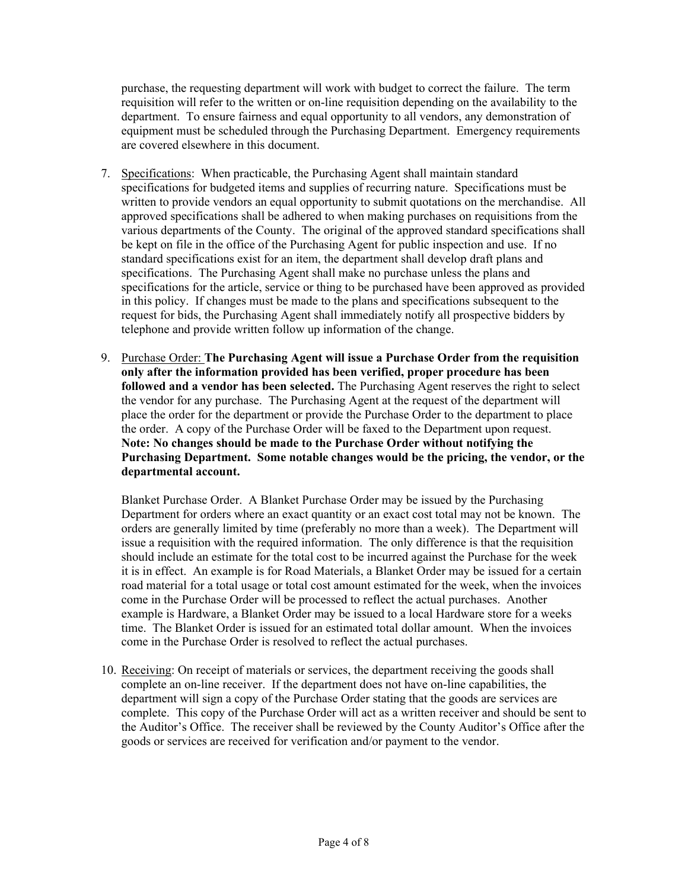purchase, the requesting department will work with budget to correct the failure. The term requisition will refer to the written or on-line requisition depending on the availability to the department. To ensure fairness and equal opportunity to all vendors, any demonstration of equipment must be scheduled through the Purchasing Department. Emergency requirements are covered elsewhere in this document.

- 7. Specifications: When practicable, the Purchasing Agent shall maintain standard specifications for budgeted items and supplies of recurring nature. Specifications must be written to provide vendors an equal opportunity to submit quotations on the merchandise. All approved specifications shall be adhered to when making purchases on requisitions from the various departments of the County. The original of the approved standard specifications shall be kept on file in the office of the Purchasing Agent for public inspection and use. If no standard specifications exist for an item, the department shall develop draft plans and specifications. The Purchasing Agent shall make no purchase unless the plans and specifications for the article, service or thing to be purchased have been approved as provided in this policy. If changes must be made to the plans and specifications subsequent to the request for bids, the Purchasing Agent shall immediately notify all prospective bidders by telephone and provide written follow up information of the change.
- 9. Purchase Order: **The Purchasing Agent will issue a Purchase Order from the requisition only after the information provided has been verified, proper procedure has been followed and a vendor has been selected.** The Purchasing Agent reserves the right to select the vendor for any purchase. The Purchasing Agent at the request of the department will place the order for the department or provide the Purchase Order to the department to place the order. A copy of the Purchase Order will be faxed to the Department upon request. **Note: No changes should be made to the Purchase Order without notifying the Purchasing Department. Some notable changes would be the pricing, the vendor, or the departmental account.**

Blanket Purchase Order. A Blanket Purchase Order may be issued by the Purchasing Department for orders where an exact quantity or an exact cost total may not be known. The orders are generally limited by time (preferably no more than a week). The Department will issue a requisition with the required information. The only difference is that the requisition should include an estimate for the total cost to be incurred against the Purchase for the week it is in effect. An example is for Road Materials, a Blanket Order may be issued for a certain road material for a total usage or total cost amount estimated for the week, when the invoices come in the Purchase Order will be processed to reflect the actual purchases. Another example is Hardware, a Blanket Order may be issued to a local Hardware store for a weeks time. The Blanket Order is issued for an estimated total dollar amount. When the invoices come in the Purchase Order is resolved to reflect the actual purchases.

10. Receiving: On receipt of materials or services, the department receiving the goods shall complete an on-line receiver. If the department does not have on-line capabilities, the department will sign a copy of the Purchase Order stating that the goods are services are complete. This copy of the Purchase Order will act as a written receiver and should be sent to the Auditor's Office. The receiver shall be reviewed by the County Auditor's Office after the goods or services are received for verification and/or payment to the vendor.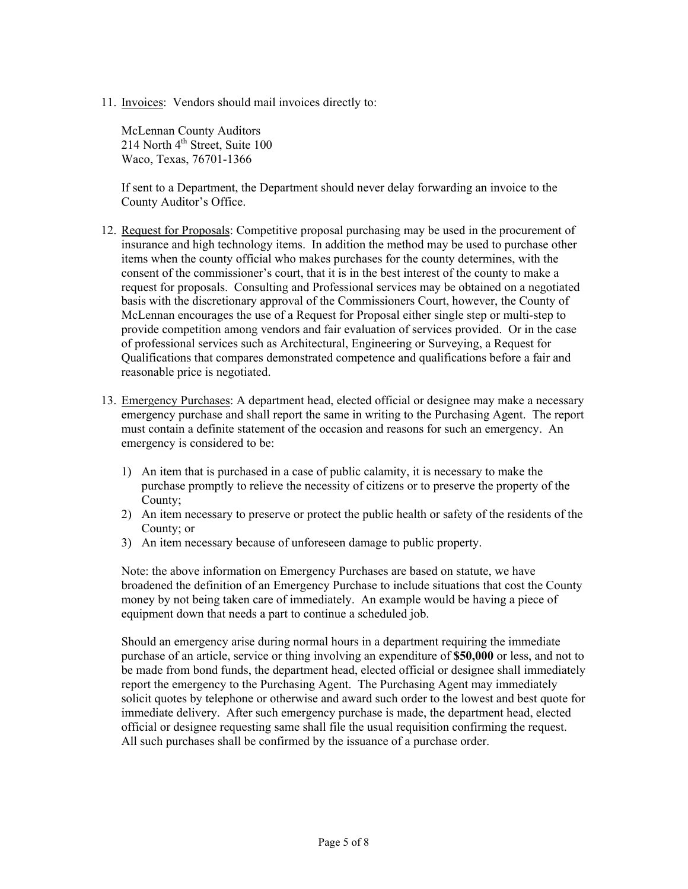11. Invoices: Vendors should mail invoices directly to:

McLennan County Auditors 214 North  $4<sup>th</sup>$  Street, Suite 100 Waco, Texas, 76701-1366

If sent to a Department, the Department should never delay forwarding an invoice to the County Auditor's Office.

- 12. Request for Proposals: Competitive proposal purchasing may be used in the procurement of insurance and high technology items. In addition the method may be used to purchase other items when the county official who makes purchases for the county determines, with the consent of the commissioner's court, that it is in the best interest of the county to make a request for proposals. Consulting and Professional services may be obtained on a negotiated basis with the discretionary approval of the Commissioners Court, however, the County of McLennan encourages the use of a Request for Proposal either single step or multi-step to provide competition among vendors and fair evaluation of services provided. Or in the case of professional services such as Architectural, Engineering or Surveying, a Request for Qualifications that compares demonstrated competence and qualifications before a fair and reasonable price is negotiated.
- 13. Emergency Purchases: A department head, elected official or designee may make a necessary emergency purchase and shall report the same in writing to the Purchasing Agent. The report must contain a definite statement of the occasion and reasons for such an emergency. An emergency is considered to be:
	- 1) An item that is purchased in a case of public calamity, it is necessary to make the purchase promptly to relieve the necessity of citizens or to preserve the property of the County;
	- 2) An item necessary to preserve or protect the public health or safety of the residents of the County; or
	- 3) An item necessary because of unforeseen damage to public property.

Note: the above information on Emergency Purchases are based on statute, we have broadened the definition of an Emergency Purchase to include situations that cost the County money by not being taken care of immediately. An example would be having a piece of equipment down that needs a part to continue a scheduled job.

Should an emergency arise during normal hours in a department requiring the immediate purchase of an article, service or thing involving an expenditure of **\$50,000** or less, and not to be made from bond funds, the department head, elected official or designee shall immediately report the emergency to the Purchasing Agent. The Purchasing Agent may immediately solicit quotes by telephone or otherwise and award such order to the lowest and best quote for immediate delivery. After such emergency purchase is made, the department head, elected official or designee requesting same shall file the usual requisition confirming the request. All such purchases shall be confirmed by the issuance of a purchase order.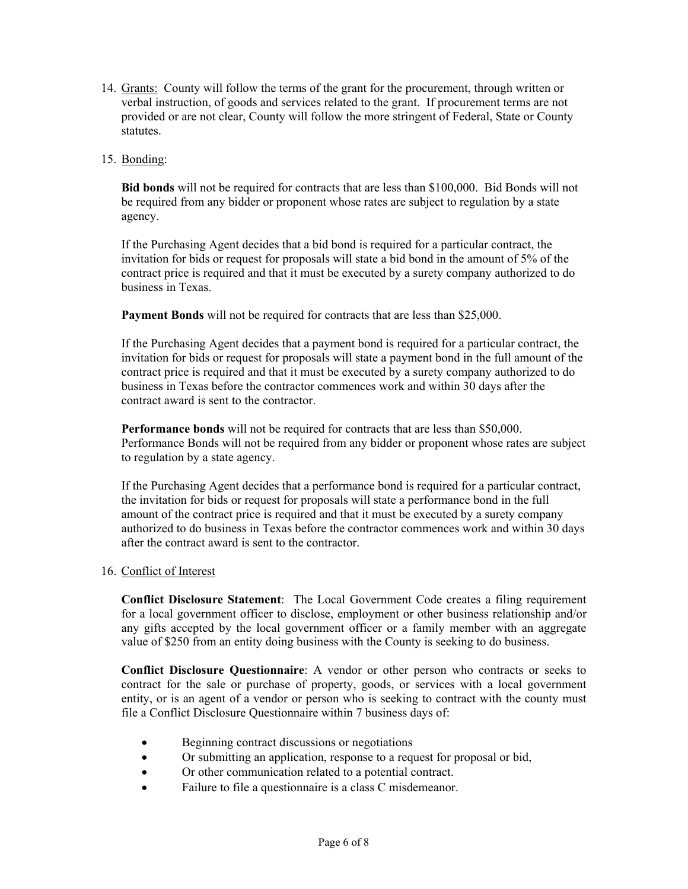14. Grants: County will follow the terms of the grant for the procurement, through written or verbal instruction, of goods and services related to the grant. If procurement terms are not provided or are not clear, County will follow the more stringent of Federal, State or County statutes.

#### 15. Bonding:

**Bid bonds** will not be required for contracts that are less than \$100,000. Bid Bonds will not be required from any bidder or proponent whose rates are subject to regulation by a state agency.

If the Purchasing Agent decides that a bid bond is required for a particular contract, the invitation for bids or request for proposals will state a bid bond in the amount of 5% of the contract price is required and that it must be executed by a surety company authorized to do business in Texas.

**Payment Bonds** will not be required for contracts that are less than \$25,000.

If the Purchasing Agent decides that a payment bond is required for a particular contract, the invitation for bids or request for proposals will state a payment bond in the full amount of the contract price is required and that it must be executed by a surety company authorized to do business in Texas before the contractor commences work and within 30 days after the contract award is sent to the contractor.

**Performance bonds** will not be required for contracts that are less than \$50,000. Performance Bonds will not be required from any bidder or proponent whose rates are subject to regulation by a state agency.

If the Purchasing Agent decides that a performance bond is required for a particular contract, the invitation for bids or request for proposals will state a performance bond in the full amount of the contract price is required and that it must be executed by a surety company authorized to do business in Texas before the contractor commences work and within 30 days after the contract award is sent to the contractor.

#### 16. Conflict of Interest

**Conflict Disclosure Statement**: The Local Government Code creates a filing requirement for a local government officer to disclose, employment or other business relationship and/or any gifts accepted by the local government officer or a family member with an aggregate value of \$250 from an entity doing business with the County is seeking to do business.

**Conflict Disclosure Questionnaire**: A vendor or other person who contracts or seeks to contract for the sale or purchase of property, goods, or services with a local government entity, or is an agent of a vendor or person who is seeking to contract with the county must file a Conflict Disclosure Questionnaire within 7 business days of:

- Beginning contract discussions or negotiations
- Or submitting an application, response to a request for proposal or bid,
- Or other communication related to a potential contract.
- Failure to file a questionnaire is a class C misdemeanor.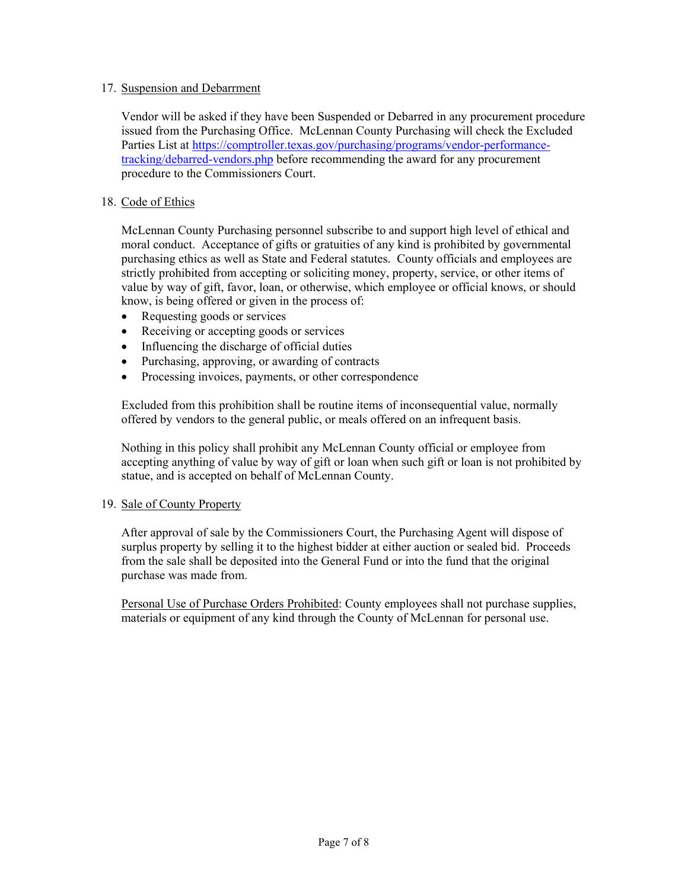# 17. Suspension and Debarrment

Vendor will be asked if they have been Suspended or Debarred in any procurement procedure issued from the Purchasing Office. McLennan County Purchasing will check the Excluded Parties List at https://comptroller.texas.gov/purchasing/programs/vendor-performancetracking/debarred-vendors.php before recommending the award for any procurement procedure to the Commissioners Court.

# 18. Code of Ethics

McLennan County Purchasing personnel subscribe to and support high level of ethical and moral conduct. Acceptance of gifts or gratuities of any kind is prohibited by governmental purchasing ethics as well as State and Federal statutes. County officials and employees are strictly prohibited from accepting or soliciting money, property, service, or other items of value by way of gift, favor, loan, or otherwise, which employee or official knows, or should know, is being offered or given in the process of:

- Requesting goods or services
- Receiving or accepting goods or services
- Influencing the discharge of official duties
- Purchasing, approving, or awarding of contracts
- Processing invoices, payments, or other correspondence

Excluded from this prohibition shall be routine items of inconsequential value, normally offered by vendors to the general public, or meals offered on an infrequent basis.

Nothing in this policy shall prohibit any McLennan County official or employee from accepting anything of value by way of gift or loan when such gift or loan is not prohibited by statue, and is accepted on behalf of McLennan County.

# 19. Sale of County Property

After approval of sale by the Commissioners Court, the Purchasing Agent will dispose of surplus property by selling it to the highest bidder at either auction or sealed bid. Proceeds from the sale shall be deposited into the General Fund or into the fund that the original purchase was made from.

Personal Use of Purchase Orders Prohibited: County employees shall not purchase supplies, materials or equipment of any kind through the County of McLennan for personal use.